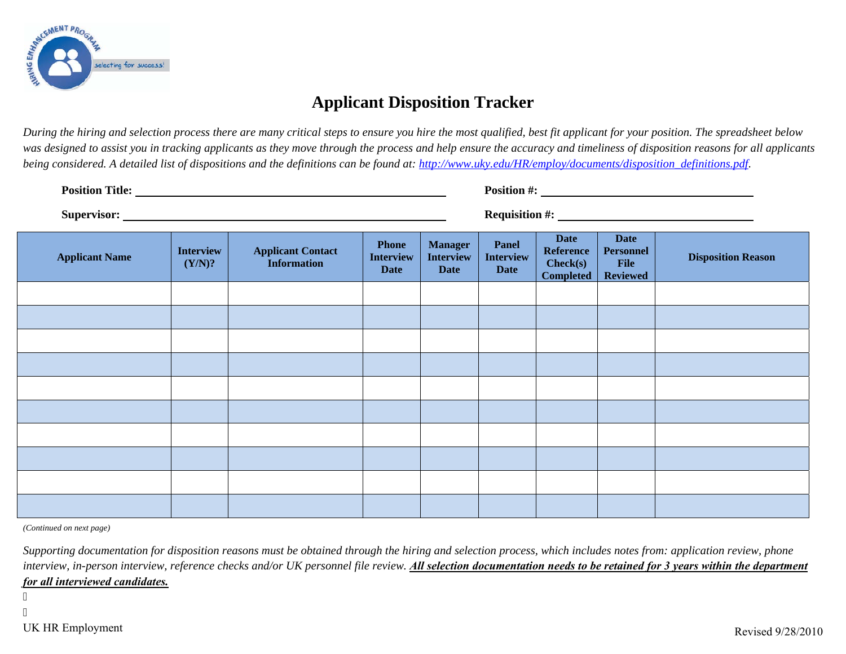

## **Applicant Disposition Tracker**

*During the hiring and selection process there are many critical steps to ensure you hire the most qualified, best fit applicant for your position. The spreadsheet below was designed to assist you in tracking applicants as they move through the process and help ensure the accuracy and timeliness of disposition reasons for all applicants being considered. A detailed list of dispositions and the definitions can be found at: http://www.uky.edu/HR/employ/documents/disposition\_definitions.pdf*.

| <b>Position Title:</b> |                            |                                                |                                                 |                                                   |                                                 |                                                                 |                                                            |                           |  |
|------------------------|----------------------------|------------------------------------------------|-------------------------------------------------|---------------------------------------------------|-------------------------------------------------|-----------------------------------------------------------------|------------------------------------------------------------|---------------------------|--|
| <b>Applicant Name</b>  | <b>Interview</b><br>(Y/N)? | <b>Applicant Contact</b><br><b>Information</b> | <b>Phone</b><br><b>Interview</b><br><b>Date</b> | <b>Manager</b><br><b>Interview</b><br><b>Date</b> | <b>Panel</b><br><b>Interview</b><br><b>Date</b> | <b>Date</b><br><b>Reference</b><br>Check(s)<br><b>Completed</b> | <b>Date</b><br><b>Personnel</b><br>File<br><b>Reviewed</b> | <b>Disposition Reason</b> |  |
|                        |                            |                                                |                                                 |                                                   |                                                 |                                                                 |                                                            |                           |  |
|                        |                            |                                                |                                                 |                                                   |                                                 |                                                                 |                                                            |                           |  |
|                        |                            |                                                |                                                 |                                                   |                                                 |                                                                 |                                                            |                           |  |
|                        |                            |                                                |                                                 |                                                   |                                                 |                                                                 |                                                            |                           |  |
|                        |                            |                                                |                                                 |                                                   |                                                 |                                                                 |                                                            |                           |  |
|                        |                            |                                                |                                                 |                                                   |                                                 |                                                                 |                                                            |                           |  |
|                        |                            |                                                |                                                 |                                                   |                                                 |                                                                 |                                                            |                           |  |
|                        |                            |                                                |                                                 |                                                   |                                                 |                                                                 |                                                            |                           |  |
|                        |                            |                                                |                                                 |                                                   |                                                 |                                                                 |                                                            |                           |  |
|                        |                            |                                                |                                                 |                                                   |                                                 |                                                                 |                                                            |                           |  |

*(Continued on next page)* 

*Supporting documentation for disposition reasons must be obtained through the hiring and selection process, which includes notes from: application review, phone*  interview, in-person interview, reference checks and/or UK personnel file review. **All selection documentation needs to be retained for 3 years within the department** *for all interviewed candidates.*

 $\mathbf{r}$